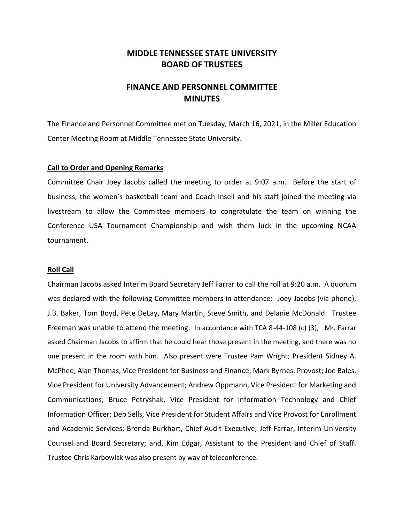# **MIDDLE TENNESSEE STATE UNIVERSITY BOARD OF TRUSTEES**

# **FINANCE AND PERSONNEL COMMITTEE MINUTES**

The Finance and Personnel Committee met on Tuesday, March 16, 2021, in the Miller Education Center Meeting Room at Middle Tennessee State University.

# **Call to Order and Opening Remarks**

Committee Chair Joey Jacobs called the meeting to order at 9:07 a.m. Before the start of business, the women's basketball team and Coach Insell and his staff joined the meeting via livestream to allow the Committee members to congratulate the team on winning the Conference USA Tournament Championship and wish them luck in the upcoming NCAA tournament.

## **Roll Call**

Chairman Jacobs asked Interim Board Secretary Jeff Farrar to call the roll at 9:20 a.m. A quorum was declared with the following Committee members in attendance: Joey Jacobs (via phone), J.B. Baker, Tom Boyd, Pete DeLay, Mary Martin, Steve Smith, and Delanie McDonald. Trustee Freeman was unable to attend the meeting. In accordance with TCA 8-44-108 (c) (3), Mr. Farrar asked Chairman Jacobs to affirm that he could hear those present in the meeting, and there was no one present in the room with him. Also present were Trustee Pam Wright; President Sidney A. McPhee; Alan Thomas, Vice President for Business and Finance; Mark Byrnes, Provost; Joe Bales, Vice President for University Advancement; Andrew Oppmann, Vice President for Marketing and Communications; Bruce Petryshak, Vice President for Information Technology and Chief Information Officer; Deb Sells, Vice President for Student Affairs and Vice Provost for Enrollment and Academic Services; Brenda Burkhart, Chief Audit Executive; Jeff Farrar, Interim University Counsel and Board Secretary; and, Kim Edgar, Assistant to the President and Chief of Staff. Trustee Chris Karbowiak was also present by way of teleconference.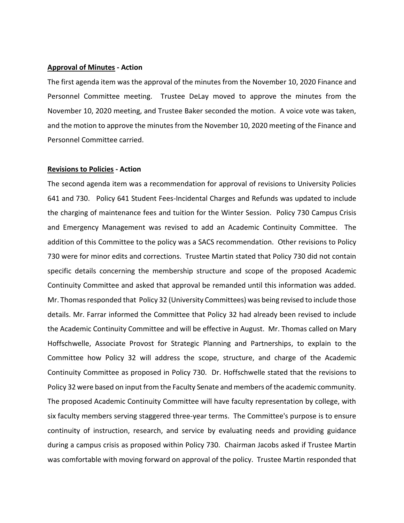## **Approval of Minutes - Action**

The first agenda item was the approval of the minutes from the November 10, 2020 Finance and Personnel Committee meeting. Trustee DeLay moved to approve the minutes from the November 10, 2020 meeting, and Trustee Baker seconded the motion. A voice vote was taken, and the motion to approve the minutes from the November 10, 2020 meeting of the Finance and Personnel Committee carried.

#### **Revisions to Policies - Action**

The second agenda item was a recommendation for approval of revisions to University Policies 641 and 730. Policy 641 Student Fees-Incidental Charges and Refunds was updated to include the charging of maintenance fees and tuition for the Winter Session. Policy 730 Campus Crisis and Emergency Management was revised to add an Academic Continuity Committee. The addition of this Committee to the policy was a SACS recommendation. Other revisions to Policy 730 were for minor edits and corrections. Trustee Martin stated that Policy 730 did not contain specific details concerning the membership structure and scope of the proposed Academic Continuity Committee and asked that approval be remanded until this information was added. Mr. Thomas responded that Policy 32 (University Committees) was being revised to include those details. Mr. Farrar informed the Committee that Policy 32 had already been revised to include the Academic Continuity Committee and will be effective in August. Mr. Thomas called on Mary Hoffschwelle, Associate Provost for Strategic Planning and Partnerships, to explain to the Committee how Policy 32 will address the scope, structure, and charge of the Academic Continuity Committee as proposed in Policy 730. Dr. Hoffschwelle stated that the revisions to Policy 32 were based on input from the Faculty Senate and members of the academic community. The proposed Academic Continuity Committee will have faculty representation by college, with six faculty members serving staggered three-year terms. The Committee's purpose is to ensure continuity of instruction, research, and service by evaluating needs and providing guidance during a campus crisis as proposed within Policy 730. Chairman Jacobs asked if Trustee Martin was comfortable with moving forward on approval of the policy. Trustee Martin responded that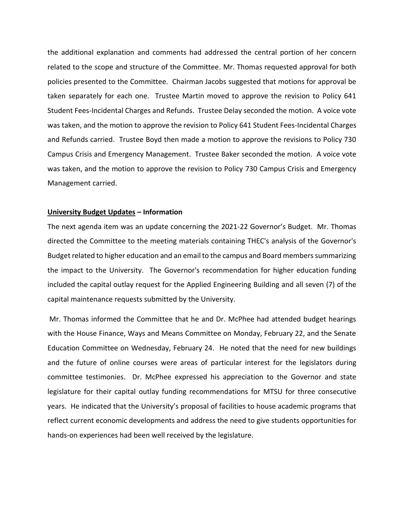the additional explanation and comments had addressed the central portion of her concern related to the scope and structure of the Committee. Mr. Thomas requested approval for both policies presented to the Committee. Chairman Jacobs suggested that motions for approval be taken separately for each one. Trustee Martin moved to approve the revision to Policy 641 Student Fees-Incidental Charges and Refunds. Trustee Delay seconded the motion. A voice vote was taken, and the motion to approve the revision to Policy 641 Student Fees-Incidental Charges and Refunds carried. Trustee Boyd then made a motion to approve the revisions to Policy 730 Campus Crisis and Emergency Management. Trustee Baker seconded the motion. A voice vote was taken, and the motion to approve the revision to Policy 730 Campus Crisis and Emergency Management carried.

## **University Budget Updates – Information**

The next agenda item was an update concerning the 2021-22 Governor's Budget. Mr. Thomas directed the Committee to the meeting materials containing THEC's analysis of the Governor's Budget related to higher education and an email to the campus and Board members summarizing the impact to the University. The Governor's recommendation for higher education funding included the capital outlay request for the Applied Engineering Building and all seven (7) of the capital maintenance requests submitted by the University.

Mr. Thomas informed the Committee that he and Dr. McPhee had attended budget hearings with the House Finance, Ways and Means Committee on Monday, February 22, and the Senate Education Committee on Wednesday, February 24. He noted that the need for new buildings and the future of online courses were areas of particular interest for the legislators during committee testimonies. Dr. McPhee expressed his appreciation to the Governor and state legislature for their capital outlay funding recommendations for MTSU for three consecutive years. He indicated that the University's proposal of facilities to house academic programs that reflect current economic developments and address the need to give students opportunities for hands-on experiences had been well received by the legislature.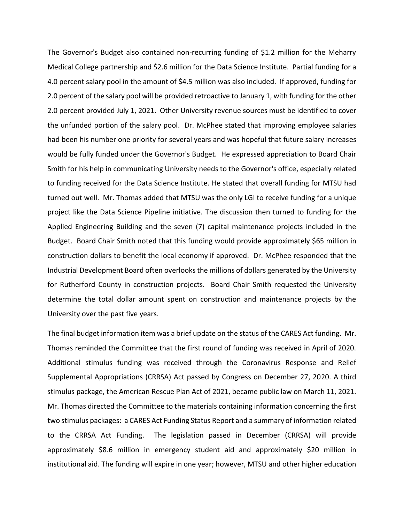The Governor's Budget also contained non-recurring funding of \$1.2 million for the Meharry Medical College partnership and \$2.6 million for the Data Science Institute. Partial funding for a 4.0 percent salary pool in the amount of \$4.5 million was also included. If approved, funding for 2.0 percent of the salary pool will be provided retroactive to January 1, with funding for the other 2.0 percent provided July 1, 2021. Other University revenue sources must be identified to cover the unfunded portion of the salary pool. Dr. McPhee stated that improving employee salaries had been his number one priority for several years and was hopeful that future salary increases would be fully funded under the Governor's Budget. He expressed appreciation to Board Chair Smith for his help in communicating University needs to the Governor's office, especially related to funding received for the Data Science Institute. He stated that overall funding for MTSU had turned out well. Mr. Thomas added that MTSU was the only LGI to receive funding for a unique project like the Data Science Pipeline initiative. The discussion then turned to funding for the Applied Engineering Building and the seven (7) capital maintenance projects included in the Budget. Board Chair Smith noted that this funding would provide approximately \$65 million in construction dollars to benefit the local economy if approved. Dr. McPhee responded that the Industrial Development Board often overlooks the millions of dollars generated by the University for Rutherford County in construction projects. Board Chair Smith requested the University determine the total dollar amount spent on construction and maintenance projects by the University over the past five years.

The final budget information item was a brief update on the status of the CARES Act funding. Mr. Thomas reminded the Committee that the first round of funding was received in April of 2020. Additional stimulus funding was received through the Coronavirus Response and Relief Supplemental Appropriations (CRRSA) Act passed by Congress on December 27, 2020. A third stimulus package, the American Rescue Plan Act of 2021, became public law on March 11, 2021. Mr. Thomas directed the Committee to the materials containing information concerning the first two stimulus packages: a CARES Act Funding Status Report and a summary of information related to the CRRSA Act Funding. The legislation passed in December (CRRSA) will provide approximately \$8.6 million in emergency student aid and approximately \$20 million in institutional aid. The funding will expire in one year; however, MTSU and other higher education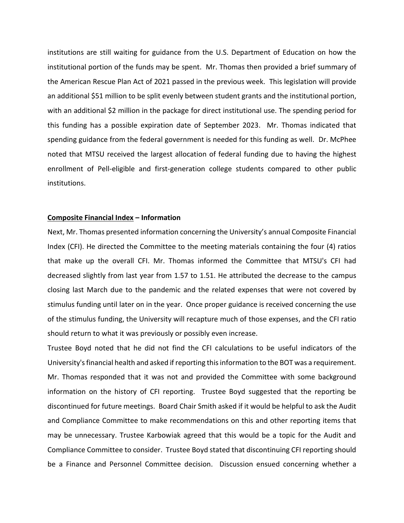institutions are still waiting for guidance from the U.S. Department of Education on how the institutional portion of the funds may be spent. Mr. Thomas then provided a brief summary of the American Rescue Plan Act of 2021 passed in the previous week. This legislation will provide an additional \$51 million to be split evenly between student grants and the institutional portion, with an additional \$2 million in the package for direct institutional use. The spending period for this funding has a possible expiration date of September 2023. Mr. Thomas indicated that spending guidance from the federal government is needed for this funding as well. Dr. McPhee noted that MTSU received the largest allocation of federal funding due to having the highest enrollment of Pell-eligible and first-generation college students compared to other public institutions.

# **Composite Financial Index – Information**

Next, Mr. Thomas presented information concerning the University's annual Composite Financial Index (CFI). He directed the Committee to the meeting materials containing the four (4) ratios that make up the overall CFI. Mr. Thomas informed the Committee that MTSU's CFI had decreased slightly from last year from 1.57 to 1.51. He attributed the decrease to the campus closing last March due to the pandemic and the related expenses that were not covered by stimulus funding until later on in the year. Once proper guidance is received concerning the use of the stimulus funding, the University will recapture much of those expenses, and the CFI ratio should return to what it was previously or possibly even increase.

Trustee Boyd noted that he did not find the CFI calculations to be useful indicators of the University's financial health and asked if reporting this information to the BOT was a requirement. Mr. Thomas responded that it was not and provided the Committee with some background information on the history of CFI reporting. Trustee Boyd suggested that the reporting be discontinued for future meetings. Board Chair Smith asked if it would be helpful to ask the Audit and Compliance Committee to make recommendations on this and other reporting items that may be unnecessary. Trustee Karbowiak agreed that this would be a topic for the Audit and Compliance Committee to consider. Trustee Boyd stated that discontinuing CFI reporting should be a Finance and Personnel Committee decision. Discussion ensued concerning whether a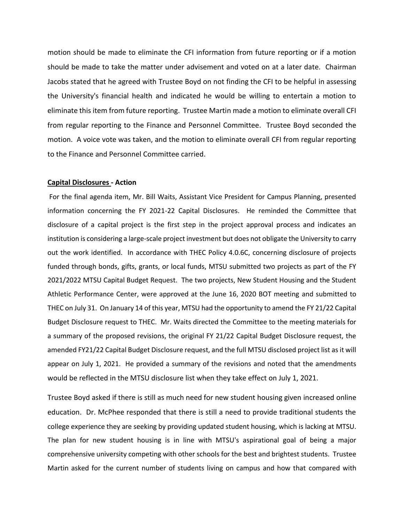motion should be made to eliminate the CFI information from future reporting or if a motion should be made to take the matter under advisement and voted on at a later date. Chairman Jacobs stated that he agreed with Trustee Boyd on not finding the CFI to be helpful in assessing the University's financial health and indicated he would be willing to entertain a motion to eliminate this item from future reporting. Trustee Martin made a motion to eliminate overall CFI from regular reporting to the Finance and Personnel Committee. Trustee Boyd seconded the motion. A voice vote was taken, and the motion to eliminate overall CFI from regular reporting to the Finance and Personnel Committee carried.

## **Capital Disclosures - Action**

For the final agenda item, Mr. Bill Waits, Assistant Vice President for Campus Planning, presented information concerning the FY 2021-22 Capital Disclosures. He reminded the Committee that disclosure of a capital project is the first step in the project approval process and indicates an institution is considering a large-scale project investment but does not obligate the University to carry out the work identified. In accordance with THEC Policy 4.0.6C, concerning disclosure of projects funded through bonds, gifts, grants, or local funds, MTSU submitted two projects as part of the FY 2021/2022 MTSU Capital Budget Request. The two projects, New Student Housing and the Student Athletic Performance Center, were approved at the June 16, 2020 BOT meeting and submitted to THEC on July 31. On January 14 of this year, MTSU had the opportunity to amend the FY 21/22 Capital Budget Disclosure request to THEC. Mr. Waits directed the Committee to the meeting materials for a summary of the proposed revisions, the original FY 21/22 Capital Budget Disclosure request, the amended FY21/22 Capital Budget Disclosure request, and the full MTSU disclosed project list as it will appear on July 1, 2021. He provided a summary of the revisions and noted that the amendments would be reflected in the MTSU disclosure list when they take effect on July 1, 2021.

Trustee Boyd asked if there is still as much need for new student housing given increased online education. Dr. McPhee responded that there is still a need to provide traditional students the college experience they are seeking by providing updated student housing, which is lacking at MTSU. The plan for new student housing is in line with MTSU's aspirational goal of being a major comprehensive university competing with other schools for the best and brightest students. Trustee Martin asked for the current number of students living on campus and how that compared with